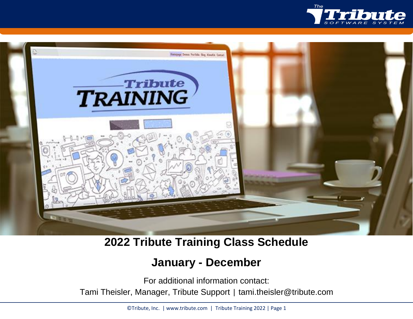



**2022 Tribute Training Class Schedule**

# **January - December**

For additional information contact:

Tami Theisler, Manager, Tribute Support | tami.theisler@tribute.com

©Tribute, Inc. | www.tribute.com | Tribute Training 2022 | Page 1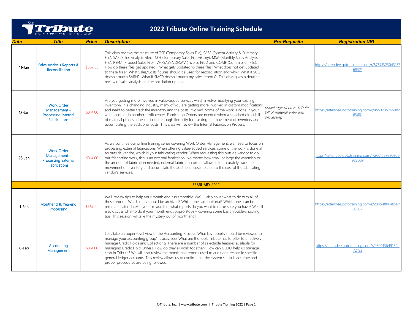

| Date       | <b>Title</b>                                                                           | <b>Price</b> | <b>Description</b>                                                                                                                                                                                                                                                                                                                                                                                                                                                                                                                                                                                                                                               | <b>Pre-Requisite</b>                                                   | <b>Registration URL</b>                                     |
|------------|----------------------------------------------------------------------------------------|--------------|------------------------------------------------------------------------------------------------------------------------------------------------------------------------------------------------------------------------------------------------------------------------------------------------------------------------------------------------------------------------------------------------------------------------------------------------------------------------------------------------------------------------------------------------------------------------------------------------------------------------------------------------------------------|------------------------------------------------------------------------|-------------------------------------------------------------|
| 11-Jan     | Sales Analysis Reports &<br>Reconciliation                                             | \$367.00     | This class reviews the structure of TSF (Temporary Sales File), SASF (System Activity & Summary<br>File), SAF (Sales Analysis File), TSFH (Temporary Sales File History), MSA (Monthly Sales Analysis<br>File), PSFM (Product Sales File), IVHFSAV/IVDFSAV (Invoice Files) and COMF (Commission File).<br>How do these files get updated? What gets updated to these files? What does not get updated<br>to these files? What Sales/Costs figures should be used for reconciliation and why? What if SCQ<br>doesn't match SARH? What if SMCR doesn't match my sales reports? This class gives a detailed<br>review of sales analysis and reconciliation options. |                                                                        | https://attendee.gototraining.com/r/87671323043157<br>68321 |
| $18 - Jan$ | <b>Work Order</b><br>Management -<br>Processing Internal<br><b>Fabrications</b>        | \$314.00     | Are you getting more involved in value-added services which involve modifying your existing<br>inventory? In a changing industry, many of you are getting more involved in custom modifications<br>and need to better track the inventory and the costs involved. Some of the work is done in your<br>warehouse or in another profit center. Fabrication Orders are needed when a standard direct bill<br>of material process doesn' t offer enough flexibility for tracking the movement of inventory and<br>accumulating the additional costs. This class will review the Internal Fabrication Process.                                                        | Knowledge of basic Tribute<br>bill of material entry and<br>processing | https://attendee.gototraining.com/r/4553235766082<br>63681  |
| 25-Jan     | <b>Work Order</b><br>Management -<br><b>Processing External</b><br><b>Fabrications</b> | \$314.00     | As we continue our online training series covering Work Order Management, we need to focus on<br>processing external fabrications. When offering value-added services, some of the work is done at<br>an outside vendor, which is your fabricating vendor. When requesting this outside vendor to do<br>our fabricating work, this is an external fabrication. No matter how small or large the assembly or<br>the amount of fabrication needed, external fabrication orders allow us to accurately track the<br>movement of inventory and accumulate the additional costs related to the cost of the fabricating<br>vendor's services.                          |                                                                        | https://attendee.gototraining.com/r/2001539290958<br>987009 |
|            |                                                                                        |              | FEBRUARY 2022                                                                                                                                                                                                                                                                                                                                                                                                                                                                                                                                                                                                                                                    |                                                                        |                                                             |
| 1-Feb      | Monthend & Yearend<br>Processing                                                       | \$367.00     | We'll review tips to help your month end run smoothly. We'll also cover what to do with all of<br>those reports. Which ones should be archived? Which ones are optional? Which ones can be<br>rerun at a later date? If you' re audited, what reports do you want to make sure you have? We'<br>also discuss what to do if your month end Jobpro stops - covering some basic trouble-shooting<br>tips. This session will take the mystery out of month end!                                                                                                                                                                                                      |                                                                        | https://attendee.gototraining.com/r/2045480640567<br>93857  |
| 8-Feb      | Accounting<br>Management                                                               | \$314.00     | Let's take an upper-level view of the Accounting Process. What key reports should be reviewed to<br>manage your accounting group's activities? What are the tools Tribute has to offer to effectively<br>manage Credit Holds and Collections? There are a number of selectable features available for<br>managing Credit Hold Orders. How do they all work together? How can GLBIQ help us manage<br>cash in Tribute? We will also review the month end reports used to audit and reconcile specific<br>general ledger accounts. This review allows us to confirm that the system setup is accurate and<br>proper procedures are being followed.                 |                                                                        | https://attendee.gototraining.com/r/9500136491544<br>72193  |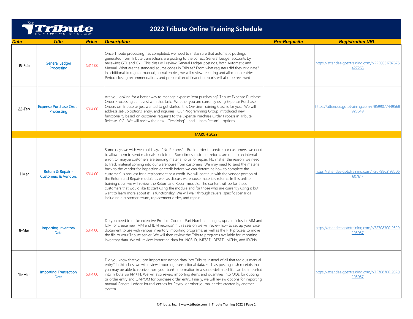

| Date   | <b>Title</b>                                        | <b>Price</b> | <b>Description</b>                                                                                                                                                                                                                                                                                                                                                                                                                                                                                                                                                                                                                                                                                                                                                                                                                                                                                                                                                                                                                                           | <b>Pre-Requisite</b> | <b>Registration URL</b>                                     |
|--------|-----------------------------------------------------|--------------|--------------------------------------------------------------------------------------------------------------------------------------------------------------------------------------------------------------------------------------------------------------------------------------------------------------------------------------------------------------------------------------------------------------------------------------------------------------------------------------------------------------------------------------------------------------------------------------------------------------------------------------------------------------------------------------------------------------------------------------------------------------------------------------------------------------------------------------------------------------------------------------------------------------------------------------------------------------------------------------------------------------------------------------------------------------|----------------------|-------------------------------------------------------------|
| 15-Feb | <b>General Ledger</b><br>Processing                 | \$314.00     | Once Tribute processing has completed, we need to make sure that automatic postings<br>generated from Tribute transactions are posting to the correct General Ledger accounts by<br>reviewing GTL and GYL. This class will review General Ledger postings, both Automatic and<br>Manual. What are the standard source codes in Tribute? From what registers did they originate?<br>In additional to regular manual journal entries, we will review recurring and allocation entries.<br>Period closing recommendations and preparation of financial reports will also be reviewed.                                                                                                                                                                                                                                                                                                                                                                                                                                                                           |                      | https://attendee.gototraining.com/r/2230061787676<br>427265 |
| 22-Feb | <b>Expense Purchase Order</b><br>Processing         | \$314.00     | Are you looking for a better way to manage expense item purchasing? Tribute Expense Purchase<br>Order Processing can assist with that task. Whether you are currently using Expense Purchase<br>Orders on Tribute or just wanted to get started, this On-Line Training Class is for you. We will<br>address set-up options, entry, and inquiries. Our Programming Group introduced new<br>functionality based on customer requests to the Expense Purchase Order Process in Tribute<br>Release 10.2. We will review the new 'Receiving' and 'Item Return' options.                                                                                                                                                                                                                                                                                                                                                                                                                                                                                           |                      | https://attendee.gototraining.com/r/8599077449568<br>923649 |
|        |                                                     |              | <b>MARCH 2022</b>                                                                                                                                                                                                                                                                                                                                                                                                                                                                                                                                                                                                                                                                                                                                                                                                                                                                                                                                                                                                                                            |                      |                                                             |
| 1-Mar  | Return & Repair -<br><b>Customers &amp; Vendors</b> | \$314.00     | Some days we wish we could say, "No Returns". But in order to service our customers, we need<br>to allow them to send materials back to us. Sometimes customer returns are due to an internal<br>error. Or maybe customers are sending material to us for repair. No matter the reason, we need<br>to track material coming into our warehouse from customers. We may need to send the material<br>back to the vendor for inspection or credit before we can determine how to complete the<br>customer' s request for a replacement or a credit. We will continue with the vendor portion of<br>the Return and Repair module as well as discuss warehouse materials returns. In this online<br>training class, we will review the Return and Repair module. The content will be for those<br>customers that would like to start using the module and for those who are currently using it but<br>want to learn more about it's functionality. We will walk through several specific scenarios<br>including a customer return, replacement order, and repair. |                      | https://attendee.gototraining.com/r/2679863198506<br>607617 |
| 8-Mar  | Importing Inventory<br>Data                         | \$314.00     | Do you need to make extensive Product Code or Part Number changes, update fields in IMM and<br>IDM, or create new IMM and IDM records? In this session we will review how to set up your Excel<br>document to use with various inventory importing programs, as well as the FTP process to move<br>the file to your Tribute server. We will then review the Tribute programs available for importing<br>inventory data. We will review importing data for INCBLD, IMFSET, IDFSET, IMCNV, and IDCNV.                                                                                                                                                                                                                                                                                                                                                                                                                                                                                                                                                          |                      | https://attendee.gototraining.com/r/7270830019820<br>205057 |
| 15-Mar | <b>Importing Transaction</b><br>Data                | \$314.00     | Did you know that you can import transaction data into Tribute instead of all that tedious manual<br>entry? In this class, we will review importing transactional data, such as posting cash receipts that<br>you may be able to receive from your bank. Information in a space-delimited file can be imported<br>into Tribute via RMKIN. We will also review importing items and quantities into OQE for quoting<br>or order entry and QMPOM for purchase order entry. Finally, we will review options for importing<br>manual General Ledger Journal entries for Payroll or other journal entries created by another<br>system.                                                                                                                                                                                                                                                                                                                                                                                                                            |                      | https://attendee.gototraining.com/r/7270830019820<br>205057 |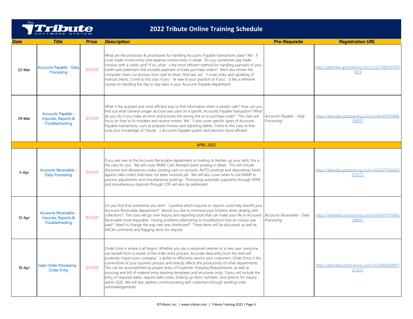

| Date   | <b>Title</b>                                                            | <b>Price</b> | <b>Description</b>                                                                                                                                                                                                                                                                                                                                                                                                                                                                                                                                                                                                                                                                                                                                                                                                         | <b>Pre-Requisite</b>                      | <b>Registration URL</b>                                     |
|--------|-------------------------------------------------------------------------|--------------|----------------------------------------------------------------------------------------------------------------------------------------------------------------------------------------------------------------------------------------------------------------------------------------------------------------------------------------------------------------------------------------------------------------------------------------------------------------------------------------------------------------------------------------------------------------------------------------------------------------------------------------------------------------------------------------------------------------------------------------------------------------------------------------------------------------------------|-------------------------------------------|-------------------------------------------------------------|
| 22-Mar | <b>Accounts Payable - Daily</b><br>Processing                           | \$314.00     | What are the processes & procedures for handling Accounts Payable transactions daily? We'll<br>cover trade invoice entry and expense invoice entry in detail. Do you sometimes pay trade<br>invoices with a credit card? If so, what's the most efficient method for handling payment of your<br>credit card statement that includes payment of trade purchase orders? We'll also review the<br>computer check run process from start to finish. And last, we'll cover entry and updating of<br>manual checks. Come to this class if you' re new to your position or if you' d like a refresher<br>course on handling the day to day tasks in your Accounts Payable department.                                                                                                                                            |                                           | https://attendee.gototraining.com/r/22213805107853<br>1073  |
| 29-Mar | Accounts Payable -<br>Inquiries, Reports &<br>Troubleshooting           | \$314.00     | What is the quickest and most efficient way to find information when a vendor calls? How can you<br>find out what General Ledger account was used on a specific Accounts Payable transaction? What<br>do you do if you make an error and process the wrong line on a purchase order? This class will<br>focus on how to fix mistakes and reverse entries. We'll also cover specific types of Accounts<br>Payable transactions, such as prepaid invoices and adjusting debits. Come to this class to fine-<br>tune your knowledge of Tribute' s Accounts Payable system and become more efficient.                                                                                                                                                                                                                          | Accounts Payable - Daily<br>Processing    | https://attendee.gototraining.com/r/2061419793806<br>390017 |
|        |                                                                         |              | <b>APRIL 2022</b>                                                                                                                                                                                                                                                                                                                                                                                                                                                                                                                                                                                                                                                                                                                                                                                                          |                                           |                                                             |
| 5-Apr  | <b>Accounts Receivable -</b><br><b>Daily Processing</b>                 | \$314.00     | If you are new to the Accounts Receivable department or looking to freshen up your skills, this is<br>the class for you. We will cover RMKE Cash Receipts batch posting in detail. This will include<br>discounts and allowances codes, posting cash on account, AUTO postings and depositing checks<br>against sales orders that have not been invoiced yet. We will also cover when to use RAMP to<br>process adjustments and miscellaneous postings. Processing automatic payments through APKE<br>and miscellaneous deposits through CDE will also be addressed.                                                                                                                                                                                                                                                       |                                           | https://attendee.gototraining.com/r/4236770564012<br>470273 |
| 12-Apr | <b>Accounts Receivable -</b><br>Inquiries, Reports &<br>Troubleshooting | \$314.00     | Do you find that sometimes you aren' t positive which inquires or reports could help benefit your<br>Accounts Receivable department? Would you like to minimize your timeline when dealing with<br>collections? This class will go over inquiry and reporting tools that can make your life in Accounts<br>Receivable more enjoyable. Having problems attempting to troubleshoot how an invoice was<br>paid? Need to change the way cash was distributed? These items will be discussed, as well as,<br>ARCM comments and flagging items for dispute.                                                                                                                                                                                                                                                                      | Accounts Receivable - Daily<br>Processing | https://attendee.gototraining.com/r/2061419793806<br>390017 |
| 19-Apr | <b>Sales Order Processing</b><br><b>Order Entry</b>                     | \$314.00     | Order Entry is where it all begins. Whether you are a seasoned veteran or a new user, everyone<br>can benefit from a review of the order entry process. Accurate data entry from the start will<br>positively impact your company's ability to effectively service your customers. Order Entry is the<br>cornerstone of your business process and directly affects the productivity of other departments.<br>This can be accomplished by proper entry of Customer Shipping Requirements, as well as<br>sourcing and bill of material entry (existing templates and structures only). Topics will include the<br>entry of required dates, require date codes, looking up items numbers, and options for inquiry<br>within OOE. We will also address communicating with customers through sending order<br>acknowledgements. |                                           | https://attendee.gototraining.com/r/424698282801<br>273217  |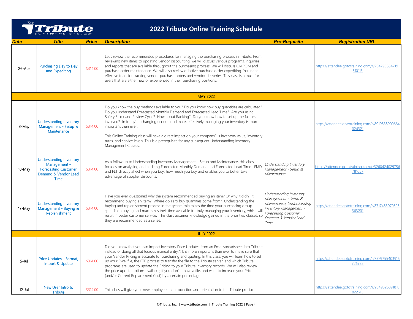

| <b>Date</b> | <b>Title</b>                                                                                                         | <b>Price</b> | <b>Description</b>                                                                                                                                                                                                                                                                                                                                                                                                                                                                                                                                                                                                                                                                  | <b>Pre-Requisite</b>                                                                                                                                            | <b>Registration URL</b>                                     |
|-------------|----------------------------------------------------------------------------------------------------------------------|--------------|-------------------------------------------------------------------------------------------------------------------------------------------------------------------------------------------------------------------------------------------------------------------------------------------------------------------------------------------------------------------------------------------------------------------------------------------------------------------------------------------------------------------------------------------------------------------------------------------------------------------------------------------------------------------------------------|-----------------------------------------------------------------------------------------------------------------------------------------------------------------|-------------------------------------------------------------|
| 26-Apr      | Purchasing Day to Day<br>and Expediting                                                                              | \$314.00     | Let's review the recommended procedures for managing the purchasing process in Tribute. From<br>reviewing new items to updating vendor discounting, we will discuss various programs, inquiries<br>and reports that are available throughout the purchasing process. We will discuss QMPOM and<br>purchase order maintenance. We will also review effective purchase order expediting. You need<br>effective tools for tracking vendor purchase orders and vendor deliveries. This class is a must for<br>users that are either new or experienced in their purchasing positions.                                                                                                   |                                                                                                                                                                 | https://attendee.gototraining.com/r/2342958542191<br>610113 |
|             |                                                                                                                      |              | <b>MAY 2022</b>                                                                                                                                                                                                                                                                                                                                                                                                                                                                                                                                                                                                                                                                     |                                                                                                                                                                 |                                                             |
| 3-May       | <b>Understanding Inventory</b><br>Management - Setup &<br>Maintenance                                                | \$314.00     | Do you know the buy methods available to you? Do you know how buy quantities are calculated?<br>Do you understand Forecasted Monthly Demand and Forecasted Lead Time? Are you using<br>Safety Stock and Review Cycle? How about Ranking? Do you know how to set up the factors<br>involved? In today's changing economic climate, effectively managing your inventory is more<br>important than ever.<br>This Online Training class will have a direct impact on your company' s inventory value, inventory<br>turns, and service levels. This is a prerequisite for any subsequent Understanding Inventory<br>Management Classes.                                                  |                                                                                                                                                                 | https://attendee.gototraining.com/r/8919538909664<br>024321 |
| 10-May      | <b>Understanding Inventory</b><br>Management -<br><b>Forecasting Customer</b><br>Demand & Vendor Lead<br><b>Time</b> | \$314.00     | As a follow up to Understanding Inventory Management - Setup and Maintenance, this class<br>focuses on analyzing and auditing Forecasted Monthly Demand and Forecasted Lead Time. FMD<br>and FLT directly affect when you buy, how much you buy and enables you to better take<br>advantage of supplier discounts.                                                                                                                                                                                                                                                                                                                                                                  | Understanding Inventory<br>Management - Setup &<br>Maintenance                                                                                                  | https://attendee.gototraining.com/r/3260424029756<br>781057 |
| 17-May      | <b>Understanding Inventory</b><br>Management - Buying &<br>Replenishment                                             | \$314.00     | Have you ever questioned why the system recommended buying an item? Or why it didn't<br>recommend buying an item? Where do zero buy quantities come from? Understanding the<br>buying and replenishment process in the system minimizes the time your purchasing group<br>spends on buying and maximizes their time available for truly managing your inventory, which wil<br>result in better customer service. This class assumes knowledge gained in the prior two classes, so<br>they are recommended as a series.                                                                                                                                                              | Understanding Inventory<br>Management - Setup &<br>Maintenance; Understanding<br>Inventory Management -<br>Forecasting Customer<br>Demand & Vendor Lead<br>Time | https://attendee.gototraining.com/r/8717453070525<br>363201 |
|             |                                                                                                                      |              | <b>JULY 2022</b>                                                                                                                                                                                                                                                                                                                                                                                                                                                                                                                                                                                                                                                                    |                                                                                                                                                                 |                                                             |
| 5-Jul       | Price Updates - Format,<br>Import & Update                                                                           | \$314.00     | Did you know that you can import Inventory Price Updates from an Excel spreadsheet into Tribute<br>instead of doing all that tedious manual entry?! It is more important than ever to make sure that<br>your Vendor Pricing is accurate for purchasing and quoting. In this class, you will learn how to set<br>up your Excel file, the FTP process to transfer the file to the Tribute server, and which Tribute<br>programs are used to update the Pricing to your Tribute Inventory records. We will also review<br>the price update options available, if you don' t have a file, and want to increase your Price<br>(and/or Current Replacement Cost) by a certain percentage. |                                                                                                                                                                 | https://attendee.gototraining.com/r/7579755403916<br>726785 |
| $12$ -Jul   | New User Intro to<br><b>Tribute</b>                                                                                  | \$314.00     | This class will give your new employee an introduction and orientation to the Tribute product.                                                                                                                                                                                                                                                                                                                                                                                                                                                                                                                                                                                      |                                                                                                                                                                 | https://attendee.gototraining.com/r/2349826091818<br>822145 |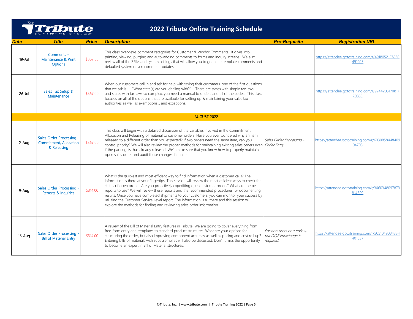

| Date       | <b>Title</b>                                                             | <b>Price</b> | <b>Description</b>                                                                                                                                                                                                                                                                                                                                                                                                                                                                                                                                                                                                                                                                 | <b>Pre-Requisite</b>                                            | <b>Registration URL</b>                                     |
|------------|--------------------------------------------------------------------------|--------------|------------------------------------------------------------------------------------------------------------------------------------------------------------------------------------------------------------------------------------------------------------------------------------------------------------------------------------------------------------------------------------------------------------------------------------------------------------------------------------------------------------------------------------------------------------------------------------------------------------------------------------------------------------------------------------|-----------------------------------------------------------------|-------------------------------------------------------------|
| $19 -$ Jul | Comments -<br>Maintenance & Print<br><b>Options</b>                      | \$367.00     | This class overviews comment categories for Customer & Vendor Comments. It dives into<br>printing, viewing, purging and auto-adding comments to forms and inquiry screens. We also<br>review all of the ZFIM and system settings that will allow you to generate template comments and<br>defaulted system driven comment updates.                                                                                                                                                                                                                                                                                                                                                 |                                                                 | https://attendee.gototraining.com/r/4918052157838<br>491905 |
| $26$ -Jul  | Sales Tax Setup &<br>Maintenance                                         | \$367.00     | When our customers call in and ask for help with taxing their customers, one of the first questions<br>that we ask is "What state(s) are you dealing with?" There are states with simple tax laws<br>and states with tax laws so complex, you need a manual to understand all of the codes. This class<br>focuses on all of the options that are available for setting up & maintaining your sales tax<br>authorities as well as exemptions and exceptions.                                                                                                                                                                                                                        |                                                                 | https://attendee.gototraining.com/r/9244203170817<br>20833  |
|            |                                                                          |              | <b>AUGUST 2022</b>                                                                                                                                                                                                                                                                                                                                                                                                                                                                                                                                                                                                                                                                 |                                                                 |                                                             |
| 2-Aug      | Sales Order Processing -<br><b>Commitment, Allocation</b><br>& Releasing | \$367.00     | This class will begin with a detailed discussion of the variables involved in the Commitment,<br>Allocation and Releasing of material to customer orders. Have you ever wondered why an item<br>released to a different order than you expected? If two orders need the same item, can you<br>control priority? We will also review the proper methods for maintaining existing sales orders even <i>Order Entry</i><br>if the packing list has already released. We'll make sure that you know how to properly maintain<br>open sales order and audit those changes if needed.                                                                                                    | Sales Order Processing -                                        | https://attendee.gototraining.com/r/6030858448409<br>04705  |
| 9-Aua      | Sales Order Processing<br><b>Reports &amp; Inquiries</b>                 | \$314.00     | What is the quickest and most efficient way to find information when a customer calls? The<br>information is there at your fingertips. This session will review the most efficient ways to check the<br>status of open orders. Are you proactively expediting open customer orders? What are the best<br>reports to use? We will review these reports and the recommended procedures for documenting<br>results. Once you have completed shipments to your customers, you can monitor your success by<br>utilizing the Customer Service Level report. The information is all there and this session will<br>explore the methods for finding and reviewing sales order information. |                                                                 | https://attendee.gototraining.com/r/306034809787.<br>814529 |
| 16-Aug     | <b>Sales Order Processing</b><br><b>Bill of Material Entry</b>           | \$314.00     | A review of the Bill of Material Entry features in Tribute. We are going to cover everything from<br>free-form entry and templates to standard product structures. What are your options for<br>structuring the order, but also improving component accuracy as well as pricing and cost roll up?<br>Entering bills of materials with subassemblies will also be discussed. Don' t miss the opportunity<br>to become an expert in Bill of Material structures.                                                                                                                                                                                                                     | For new users or a review.<br>but OQE knowledge is<br>required. | https://attendee.gototraining.com/r/5051049084334<br>401537 |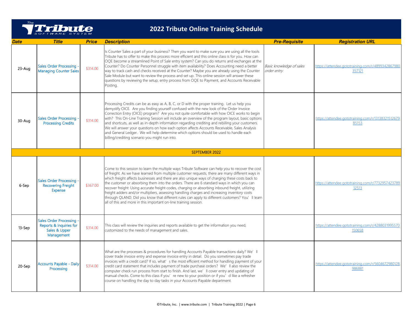

| <b>Date</b> | <b>Title</b>                                                                       | <b>Price</b> | <b>Description</b>                                                                                                                                                                                                                                                                                                                                                                                                                                                                                                                                                                                                                                                                                                                                                               | <b>Pre-Requisite</b>                    | <b>Registration URL</b>                                     |
|-------------|------------------------------------------------------------------------------------|--------------|----------------------------------------------------------------------------------------------------------------------------------------------------------------------------------------------------------------------------------------------------------------------------------------------------------------------------------------------------------------------------------------------------------------------------------------------------------------------------------------------------------------------------------------------------------------------------------------------------------------------------------------------------------------------------------------------------------------------------------------------------------------------------------|-----------------------------------------|-------------------------------------------------------------|
| 23-Aug      | <b>Sales Order Processing</b><br>Managing Counter Sales                            | \$314.00     | Is Counter Sales a part of your business? Then you want to make sure you are using all the tools<br>Tribute has to offer to make this process more efficient and this online class is for you. How can<br>OQE become a streamlined Point of Sale entry system? Can you do returns and exchanges at the<br>Counter? Do Counter Personnel struggle with item availability? Does Accounting need a better<br>way to track cash and checks received at the Counter? Maybe you are already using the Counter<br>Sale Module but want to review the process and set up. This online session will answer these<br>questions by reviewing the setup, entry process from OQE to Payment, and Accounts Receivable<br>Posting.                                                              | Basic knowledge of sales<br>order entry | https://attendee.gototraining.com/r/4899342867980<br>357121 |
| 30-Aug      | <b>Sales Order Processing</b><br><b>Processing Credits</b>                         | \$314.00     | Processing Credits can be as easy as A, B, C, or D with the proper training. Let us help you<br>demystify OICE. Are you finding yourself confused with the new look of the Order Invoice<br>Correction Entry (OICE) program? Are you not quite comfortable with how OICE works to begin<br>with? This On-Line Training Session will include an overview of the program layout, basic options<br>and shortcuts, as well as in-depth information regarding crediting and rebilling your customers.<br>We will answer your questions on how each option affects Accounts Receivable, Sales Analysis<br>and General Ledger. We will help determine which options should be used to handle each<br>billing/crediting scenario you might run into.                                     |                                         | https://attendee.gototraining.com/r/13138321512679<br>85153 |
|             |                                                                                    |              | <b>SEPTEMBER 2022</b>                                                                                                                                                                                                                                                                                                                                                                                                                                                                                                                                                                                                                                                                                                                                                            |                                         |                                                             |
| 6-Sep       | <b>Sales Order Processing</b><br><b>Recovering Freight</b><br><b>Expense</b>       | \$367.00     | Come to this session to learn the multiple ways Tribute Software can help you to recover the cost<br>of freight. As we have learned from multiple customer requests, there are many different ways in<br>which freight affects businesses and there are also unique ways of charging these costs back to<br>the customer or absorbing them into the orders. There are 6 standard ways in which you can<br>recover freight: Using accurate freight codes, charging or absorbing inbound freight, utilizing<br>freight adders and/or multipliers, assessing handling charges and increasing inventory costs<br>through QLAND. Did you know that different rules can apply to different customers? You'll learn<br>all of this and more in this important on-line training session. |                                         | https://attendee.gototraining.com/r/7732957423789<br>12513  |
| 13-Sep      | Sales Order Processing .<br>Reports & Inquiries for<br>Sales & Upper<br>Management | \$314.00     | This class will review the inquiries and reports available to get the information you need,<br>customized to the needs of management and sales.                                                                                                                                                                                                                                                                                                                                                                                                                                                                                                                                                                                                                                  |                                         | https://attendee.gototraining.com/r/4288031995570<br>150658 |
| 20-Sep      | Accounts Payable - Daily<br>Processing                                             | \$314.00     | What are the processes & procedures for handling Accounts Payable transactions daily? We'll<br>cover trade invoice entry and expense invoice entry in detail. Do you sometimes pay trade<br>invoices with a credit card? If so, what's the most efficient method for handling payment of your<br>credit card statement that includes payment of trade purchase orders? We'll also review the<br>computer check run process from start to finish. And last, we'll cover entry and updating of<br>manual checks. Come to this class if you' re new to your position or if you' d like a refresher<br>course on handling the day to day tasks in your Accounts Payable department.                                                                                                  |                                         | https://attendee.gototraining.com/r/5604672980128<br>986881 |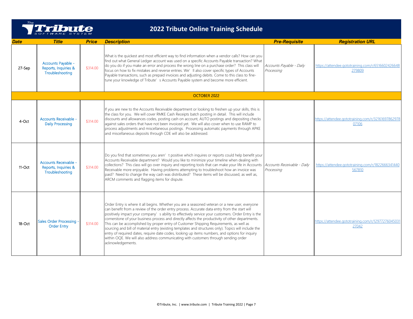

| Date      | <b>Title</b>                                                     | <b>Price</b> | <b>Description</b>                                                                                                                                                                                                                                                                                                                                                                                                                                                                                                                                                                                                                                                                                                                                                                                                          | <b>Pre-Requisite</b>                   | <b>Registration URL</b>                                     |
|-----------|------------------------------------------------------------------|--------------|-----------------------------------------------------------------------------------------------------------------------------------------------------------------------------------------------------------------------------------------------------------------------------------------------------------------------------------------------------------------------------------------------------------------------------------------------------------------------------------------------------------------------------------------------------------------------------------------------------------------------------------------------------------------------------------------------------------------------------------------------------------------------------------------------------------------------------|----------------------------------------|-------------------------------------------------------------|
| 27-Sep    | Accounts Payable -<br>Reports, Inquiries &<br>Troubleshooting    | \$314.00     | What is the quickest and most efficient way to find information when a vendor calls? How can you<br>find out what General Ledger account was used on a specific Accounts Payable transaction? What<br>do you do if you make an error and process the wrong line on a purchase order? This class will<br>focus on how to fix mistakes and reverse entries. We'll also cover specific types of Accounts<br>Payable transactions, such as prepaid invoices and adjusting debits. Come to this class to fine-<br>tune your knowledge of Tribute's Accounts Payable system and become more efficient.                                                                                                                                                                                                                            | Accounts Payable - Daily<br>Processing | https://attendee.gototraining.com/r/6516602426648<br>279809 |
|           |                                                                  |              | OCTOBER 2022                                                                                                                                                                                                                                                                                                                                                                                                                                                                                                                                                                                                                                                                                                                                                                                                                |                                        |                                                             |
| 4-Oct     | <b>Accounts Receivable -</b><br><b>Daily Processing</b>          | \$314.00     | If you are new to the Accounts Receivable department or looking to freshen up your skills, this is<br>the class for you. We will cover RMKE Cash Receipts batch posting in detail. This will include<br>discounts and allowances codes, posting cash on account, AUTO postings and depositing checks<br>against sales orders that have not been invoiced yet. We will also cover when to use RAMP to<br>process adjustments and miscellaneous postings. Processing automatic payments through APKE<br>and miscellaneous deposits through CDE will also be addressed.                                                                                                                                                                                                                                                        |                                        | https://attendee.gototraining.com/r/32161697862978<br>07106 |
| $11$ -Oct | Accounts Receivable -<br>Reports, Inquiries &<br>Troubleshooting | \$314.00     | Do you find that sometimes you aren' t positive which inquires or reports could help benefit your<br>Accounts Receivable department? Would you like to minimize your timeline when dealing with<br>collections? This class will go over inquiry and reporting tools that can make your life in Accounts   Accounts Receivable - Daily<br>Receivable more enjoyable. Having problems attempting to troubleshoot how an invoice was<br>paid? Need to change the way cash was distributed? These items will be discussed, as well as,<br>ARCM comments and flagging items for dispute.                                                                                                                                                                                                                                         | Processing                             | https://attendee.gototraining.com/r/1822666341440<br>567810 |
| $18$ -Oct | <b>Sales Order Processing</b><br><b>Order Entry</b>              | \$314.00     | Order Entry is where it all begins. Whether you are a seasoned veteran or a new user, everyone<br>can benefit from a review of the order entry process. Accurate data entry from the start will<br>positively impact your company' s ability to effectively service your customers. Order Entry is the<br>cornerstone of your business process and directly affects the productivity of other departments.<br>This can be accomplished by proper entry of Customer Shipping Requirements, as well as<br>sourcing and bill of material entry (existing templates and structures only). Topics will include the<br>entry of required dates, require date codes, looking up items numbers, and options for inquiry<br>within OQE. We will also address communicating with customers through sending order<br>acknowledgements. |                                        | https://attendee.gototraining.com/r/12977276045031<br>27042 |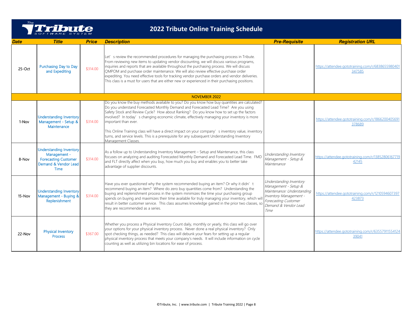

| Date     | <b>Title</b>                                                                                                         | <b>Price</b> | <b>Description</b>                                                                                                                                                                                                                                                                                                                                                                                                                                                                                                                                                                                                                | <b>Pre-Requisite</b>                                                                                                                                            | <b>Registration URL</b>                                     |
|----------|----------------------------------------------------------------------------------------------------------------------|--------------|-----------------------------------------------------------------------------------------------------------------------------------------------------------------------------------------------------------------------------------------------------------------------------------------------------------------------------------------------------------------------------------------------------------------------------------------------------------------------------------------------------------------------------------------------------------------------------------------------------------------------------------|-----------------------------------------------------------------------------------------------------------------------------------------------------------------|-------------------------------------------------------------|
| $25-Oct$ | Purchasing Day to Day<br>and Expediting                                                                              | \$314.00     | Let' s review the recommended procedures for managing the purchasing process in Tribute.<br>From reviewing new items to updating vendor discounting, we will discuss various programs,<br>inquiries and reports that are available throughout the purchasing process. We will discuss<br>QMPOM and purchase order maintenance. We will also review effective purchase order<br>expediting. You need effective tools for tracking vendor purchase orders and vendor deliveries.<br>This class is a must for users that are either new or experienced in their purchasing positions.                                                |                                                                                                                                                                 | https://attendee.gototraining.com/r/6838655980401<br>347585 |
|          |                                                                                                                      |              | NOVEMBER 2022                                                                                                                                                                                                                                                                                                                                                                                                                                                                                                                                                                                                                     |                                                                                                                                                                 |                                                             |
| 1-Nov    | <b>Understanding Inventory</b><br>Management - Setup &<br>Maintenance                                                | \$314.00     | Do you know the buy methods available to you? Do you know how buy quantities are calculated?<br>Do you understand Forecasted Monthly Demand and Forecasted Lead Time? Are you using<br>Safety Stock and Review Cycle? How about Ranking? Do you know how to set up the factors<br>involved? In today's changing economic climate, effectively managing your inventory is more<br>important than ever.<br>This Online Training class will have a direct impact on your company's inventory value, inventory<br>turns, and service levels. This is a prerequisite for any subsequent Understanding Inventory<br>Management Classes. |                                                                                                                                                                 | https://attendee.gototraining.com/r/1866200405691<br>378689 |
| 8-Nov    | <b>Understanding Inventory</b><br>Management -<br><b>Forecasting Customer</b><br>Demand & Vendor Lead<br><b>Time</b> | \$314.00     | As a follow up to Understanding Inventory Management - Setup and Maintenance, this class<br>focuses on analyzing and auditing Forecasted Monthly Demand and Forecasted Lead Time. FMD<br>and FLT directly affect when you buy, how much you buy and enables you to better take<br>advantage of supplier discounts.                                                                                                                                                                                                                                                                                                                | Understanding Inventory<br>Management - Setup &<br>Maintenance                                                                                                  | https://attendee.gototraining.com/r/13852806167719<br>42145 |
| 15-Nov   | <b>Understanding Inventory</b><br>Management - Buying &<br>Replenishment                                             | \$314.00     | Have you ever questioned why the system recommended buying an item? Or why it didn't<br>recommend buying an item? Where do zero buy quantities come from? Understanding the<br>buying and replenishment process in the system minimizes the time your purchasing group<br>spends on buying and maximizes their time available for truly managing your inventory, which wil<br>result in better customer service. This class assumes knowledge gained in the prior two classes, sc<br>they are recommended as a series.                                                                                                            | Understanding Inventory<br>Management - Setup &<br>Maintenance: Understanding<br>Inventory Management -<br>Forecasting Customer<br>Demand & Vendor Lead<br>Time | https://attendee.gototraining.com/r/1210594607397<br>423873 |
| 22-Nov   | <b>Physical Inventory</b><br><b>Process</b>                                                                          | \$367.00     | Whether you process a Physical Inventory Count daily, monthly or yearly, this class will go over<br>your options for your physical inventory process. Never done a real physical inventory? Only<br>spot checking things, as needed? This class will debunk your fears for setting up a regular<br>physical inventory process that meets your company's needs. It will include information on cycle<br>counting as well as utilizing bin locations for ease of process.                                                                                                                                                           |                                                                                                                                                                 | https://attendee.gototraining.com/r/63557911554124<br>39041 |